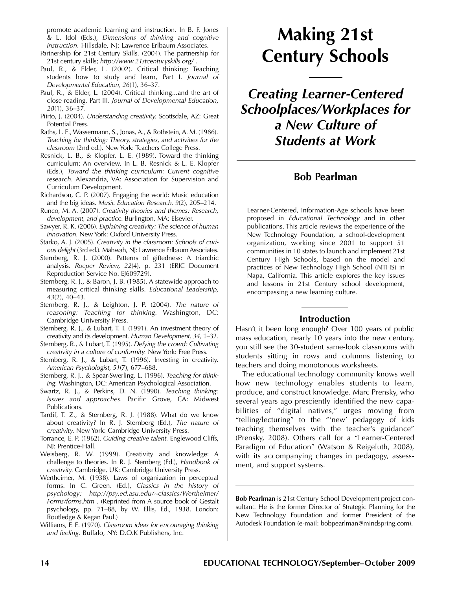promote academic learning and instruction. In B. F. Jones & L. Idol (Eds.), *Dimensions of thinking and cognitive instruction.* Hillsdale, NJ: Lawrence Erlbaum Associates.

- Partnership for 21st Century Skills. (2004). The partnership for 21st century skills; *http://www.21stcenturyskills.org/* .
- Paul, R., & Elder, L. (2002). Critical thinking: Teaching students how to study and learn, Part I. *Journal of Developmental Education, 26*(1), 36–37.
- Paul, R., & Elder, L. (2004). Critical thinking...and the art of close reading, Part III. *Journal of Developmental Education, 28*(1), 36–37.
- Piirto, J. (2004). *Understanding creativity.* Scottsdale, AZ: Great Potential Press.
- Raths, L. E., Wassermann, S., Jonas, A., & Rothstein, A. M. (1986). *Teaching for thinking: Theory, strategies, and activities for the classroom* (2nd ed.). New York: Teachers College Press.
- Resnick, L. B., & Klopfer, L. E. (1989). Toward the thinking curriculum: An overview. In L. B. Resnick & L. E. Klopfer (Eds.), *Toward the thinking curriculum: Current cognitive research.* Alexandria, VA: Association for Supervision and Curriculum Development.
- Richardson, C. P. (2007). Engaging the world: Music education and the big ideas. *Music Education Research, 9*(2), 205–214.
- Runco, M. A. (2007). *Creativity theories and themes: Research, development, and practice.* Burlington, MA: Elsevier.
- Sawyer, R. K. (2006). *Explaining creativity: The science of human innovation.* New York: Oxford University Press.
- Starko, A. J. (2005). *Creativity in the classroom: Schools of curious delight* (3rd ed.). Mahwah, NJ: Lawrence Erlbaum Associates.
- Sternberg, R. J. (2000). Patterns of giftedness: A triarchic analysis. *Roeper Review, 22*(4), p. 231 (ERIC Document Reproduction Service No. EJ609729).
- Sternberg, R. J., & Baron, J. B. (1985). A statewide approach to measuring critical thinking skills. *Educational Leadership, 43*(2), 40–43.
- Sternberg, R. J., & Leighton, J. P. (2004). *The nature of reasoning: Teaching for thinking.* Washington, DC: Cambridge University Press.
- Sternberg, R. J., & Lubart, T. I. (1991). An investment theory of creativity and its development. *Human Development, 34,* 1–32.
- Sternberg, R., & Lubart, T. (1995). *Defying the crowd: Cultivating creativity in a culture of conformity.* New York: Free Press.
- Sternberg, R. J., & Lubart, T. (1996). Investing in creativity. *American Psychologist, 51*(7), 677–688.
- Sternberg, R. J., & Spear-Swerling, L. (1996). *Teaching for thinking.* Washington, DC: American Psychological Association.
- Swartz, R. J., & Perkins, D. N. (1990). *Teaching thinking: Issues and approaches.* Pacific Grove, CA: Midwest Publications.
- Tardif, T. Z., & Sternberg, R. J. (1988). What do we know about creativity? In R. J. Sternberg (Ed.), *The nature of creativity.* New York: Cambridge University Press.
- Torrance, E. P. (1962). *Guiding creative talent.* Englewood Cliffs, NJ: Prentice-Hall.
- Weisberg, R. W. (1999). Creativity and knowledge: A challenge to theories. In R. J. Sternberg (Ed.), *Handbook of creativity.* Cambridge, UK: Cambridge University Press.
- Wertheimer, M. (1938). Laws of organization in perceptual forms. In C. Green. (Ed.), *Classics in the history of psychology; http://psy.ed.asu.edu/~classics/Wertheimer/ Forms/forms.htm .* (Reprinted from A source book of Gestalt psychology, pp. 71–88, by W. Ellis, Ed., 1938. London: Routledge & Kegan Paul.)
- Williams, F. E. (1970). *Classroom ideas for encouraging thinking and feeling.* Buffalo, NY: D.O.K Publishers, Inc.

# **Making 21st Century Schools**

*Creating Learner-Centered Schoolplaces/Workplaces for a New Culture of Students at Work*

# **Bob Pearlman**

Learner-Centered, Information-Age schools have been proposed in *Educational Technology* and in other publications. This article reviews the experience of the New Technology Foundation, a school-development organization, working since 2001 to support 51 communities in 10 states to launch and implement 21st Century High Schools, based on the model and practices of New Technology High School (NTHS) in Napa, California. This article explores the key issues and lessons in 21st Century school development, encompassing a new learning culture.

## **Introduction**

Hasn't it been long enough? Over 100 years of public mass education, nearly 10 years into the new century, you still see the 30-student same-look classrooms with students sitting in rows and columns listening to teachers and doing monotonous worksheets.

The educational technology community knows well how new technology enables students to learn, produce, and construct knowledge. Marc Prensky, who several years ago presciently identified the new capabilities of "digital natives," urges moving from "telling/lecturing" to the "'new' pedagogy of kids teaching themselves with the teacher's guidance" (Prensky, 2008). Others call for a "Learner-Centered Paradigm of Education" (Watson & Reigeluth, 2008), with its accompanying changes in pedagogy, assessment, and support systems.

**Bob Pearlman** is 21st Century School Development project consultant. He is the former Director of Strategic Planning for the New Technology Foundation and former President of the Autodesk Foundation (e-mail: bobpearlman@mindspring.com).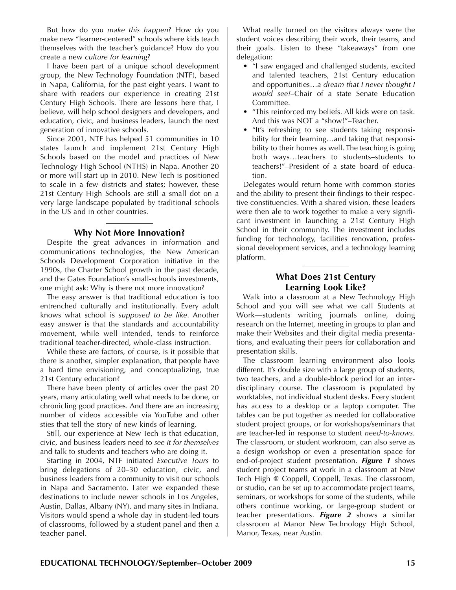But how do you *make this happen*? How do you make new "learner-centered" schools where kids teach themselves with the teacher's guidance? How do you create a new *culture for learning*?

I have been part of a unique school development group, the New Technology Foundation (NTF), based in Napa, California, for the past eight years. I want to share with readers our experience in creating 21st Century High Schools. There are lessons here that, I believe, will help school designers and developers, and education, civic, and business leaders, launch the next generation of innovative schools.

Since 2001, NTF has helped 51 communities in 10 states launch and implement 21st Century High Schools based on the model and practices of New Technology High School (NTHS) in Napa. Another 20 or more will start up in 2010. New Tech is positioned to scale in a few districts and states; however, these 21st Century High Schools are still a small dot on a very large landscape populated by traditional schools in the US and in other countries.

### **Why Not More Innovation?**

Despite the great advances in information and communications technologies, the New American Schools Development Corporation initiative in the 1990s, the Charter School growth in the past decade, and the Gates Foundation's small-schools investments, one might ask: Why is there not more innovation?

The easy answer is that traditional education is too entrenched culturally and institutionally. Every adult knows what school is *supposed to be like*. Another easy answer is that the standards and accountability movement, while well intended, tends to reinforce traditional teacher-directed, whole-class instruction.

While these are factors, of course, is it possible that there is another, simpler explanation, that people have a hard time envisioning, and conceptualizing, true 21st Century education?

There have been plenty of articles over the past 20 years, many articulating well what needs to be done, or chronicling good practices. And there are an increasing number of videos accessible via YouTube and other sties that tell the story of new kinds of learning.

Still, our experience at New Tech is that education, civic, and business leaders need to *see it for themselves* and talk to students and teachers who are doing it.

Starting in 2004, NTF initiated *Executive Tours* to bring delegations of 20–30 education, civic, and business leaders from a community to visit our schools in Napa and Sacramento. Later we expanded these destinations to include newer schools in Los Angeles, Austin, Dallas, Albany (NY), and many sites in Indiana. Visitors would spend a whole day in student-led tours of classrooms, followed by a student panel and then a teacher panel.

What really turned on the visitors always were the student voices describing their work, their teams, and their goals. Listen to these "takeaways" from one delegation:

- $\mu$  saw engaged and challenged students, excited and talented teachers, 21st Century education and opportunities…*a dream that I never thought I would see!*–Chair of a state Senate Education Committee.
- "This reinforced my beliefs. All kids were on task. And this was NOT a "show!"–Teacher.
- "It's refreshing to see students taking responsibility for their learning…and taking that responsibility to their homes as well. The teaching is going both ways…teachers to students–students to teachers!"–President of a state board of education.

Delegates would return home with common stories and the ability to present their findings to their respective constituencies. With a shared vision, these leaders were then ale to work together to make a very significant investment in launching a 21st Century High School in their community. The investment includes funding for technology, facilities renovation, professional development services, and a technology learning platform.

# **What Does 21st Century Learning Look Like?**

Walk into a classroom at a New Technology High School and you will see what we call Students at Work—students writing journals online, doing research on the Internet, meeting in groups to plan and make their Websites and their digital media presentations, and evaluating their peers for collaboration and presentation skills.

The classroom learning environment also looks different. It's double size with a large group of students, two teachers, and a double-block period for an interdisciplinary course. The classroom is populated by worktables, not individual student desks. Every student has access to a desktop or a laptop computer. The tables can be put together as needed for collaborative student project groups, or for workshops/seminars that are teacher-led in response to student *need-to-knows.* The classroom, or student workroom, can also serve as a design workshop or even a presentation space for end-of-project student presentation. *Figure 1* shows student project teams at work in a classroom at New Tech High @ Coppell, Coppell, Texas. The classroom, or studio, can be set up to accommodate project teams, seminars, or workshops for some of the students, while others continue working, or large-group student or teacher presentations. *Figure 2* shows a similar classroom at Manor New Technology High School, Manor, Texas, near Austin.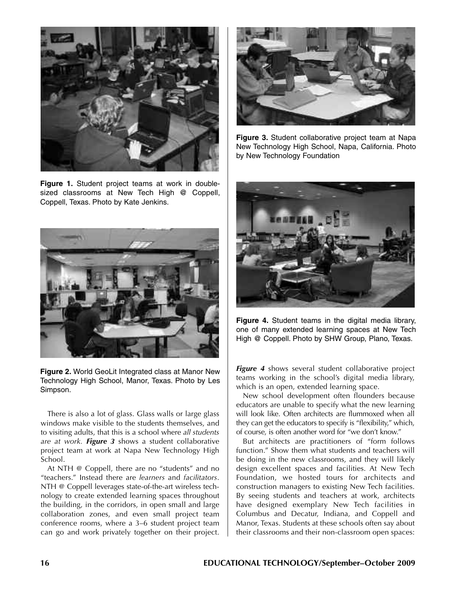

**Figure 1.** Student project teams at work in doublesized classrooms at New Tech High @ Coppell, Coppell, Texas. Photo by Kate Jenkins.



**Figure 2.** World GeoLit Integrated class at Manor New Technology High School, Manor, Texas. Photo by Les Simpson.

There is also a lot of glass. Glass walls or large glass windows make visible to the students themselves, and to visiting adults, that this is a school where *all students are at work. Figure 3* shows a student collaborative project team at work at Napa New Technology High School.

At NTH @ Coppell, there are no "students" and no "teachers." Instead there are *learners* and *facilitators*. NTH @ Coppell leverages state-of-the-art wireless technology to create extended learning spaces throughout the building, in the corridors, in open small and large collaboration zones, and even small project team conference rooms, where a 3–6 student project team can go and work privately together on their project.



**Figure 3.** Student collaborative project team at Napa New Technology High School, Napa, California. Photo by New Technology Foundation



**Figure 4.** Student teams in the digital media library, one of many extended learning spaces at New Tech High @ Coppell. Photo by SHW Group, Plano, Texas.

*Figure 4* shows several student collaborative project teams working in the school's digital media library, which is an open, extended learning space.

New school development often flounders because educators are unable to specify what the new learning will look like. Often architects are flummoxed when all they can get the educators to specify is "flexibility," which, of course, is often another word for "we don't know."

But architects are practitioners of "form follows function." Show them what students and teachers will be doing in the new classrooms, and they will likely design excellent spaces and facilities. At New Tech Foundation, we hosted tours for architects and construction managers to existing New Tech facilities. By seeing students and teachers at work, architects have designed exemplary New Tech facilities in Columbus and Decatur, Indiana, and Coppell and Manor, Texas. Students at these schools often say about their classrooms and their non-classroom open spaces: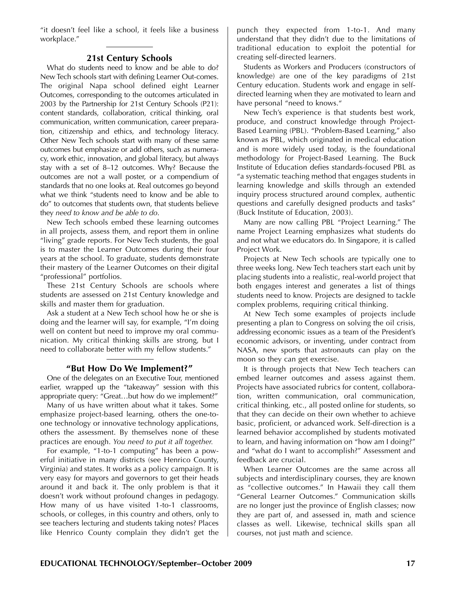"it doesn't feel like a school, it feels like a business workplace."

## **21st Century Schools**

What do students need to know and be able to do? New Tech schools start with defining Learner Out-comes. The original Napa school defined eight Learner Outcomes, corresponding to the outcomes articulated in 2003 by the Partnership for 21st Century Schools (P21): content standards, collaboration, critical thinking, oral communication, written communication, career preparation, citizenship and ethics, and technology literacy. Other New Tech schools start with many of these same outcomes but emphasize or add others, such as numeracy, work ethic, innovation, and global literacy, but always stay with a set of 8–12 outcomes. Why? Because the outcomes are not a wall poster, or a compendium of standards that no one looks at. Real outcomes go beyond what we think "students need to know and be able to do" to outcomes that students own, that students believe they *need to know and be able to do*.

New Tech schools embed these learning outcomes in all projects, assess them, and report them in online "living" grade reports. For New Tech students, the goal is to master the Learner Outcomes during their four years at the school. To graduate, students demonstrate their mastery of the Learner Outcomes on their digital "professional" portfolios.

These 21st Century Schools are schools where students are assessed on 21st Century knowledge and skills and master them for graduation.

Ask a student at a New Tech school how he or she is doing and the learner will say, for example, "I'm doing well on content but need to improve my oral communication. My critical thinking skills are strong, but I need to collaborate better with my fellow students."

## **"But How Do We Implement?"**

One of the delegates on an Executive Tour, mentioned earlier, wrapped up the "takeaway" session with this appropriate query: "Great…but how do we implement?"

Many of us have written about what it takes. Some emphasize project-based learning, others the one-toone technology or innovative technology applications, others the assessment. By themselves none of these practices are enough. *You need to put it all together.*

For example, "1-to-1 computing" has been a powerful initiative in many districts (see Henrico County, Virginia) and states. It works as a policy campaign. It is very easy for mayors and governors to get their heads around it and back it. The only problem is that it doesn't work without profound changes in pedagogy. How many of us have visited 1-to-1 classrooms, schools, or colleges, in this country and others, only to see teachers lecturing and students taking notes? Places like Henrico County complain they didn't get the

punch they expected from 1-to-1. And many understand that they didn't due to the limitations of traditional education to exploit the potential for creating self-directed learners.

Students as Workers and Producers (constructors of knowledge) are one of the key paradigms of 21st Century education. Students work and engage in selfdirected learning when they are motivated to learn and have personal "need to knows."

New Tech's experience is that students best work, produce, and construct knowledge through Project-Based Learning (PBL). "Problem-Based Learning," also known as PBL, which originated in medical education and is more widely used today, is the foundational methodology for Project-Based Learning. The Buck Institute of Education defies standards-focused PBL as "a systematic teaching method that engages students in learning knowledge and skills through an extended inquiry process structured around complex, authentic questions and carefully designed products and tasks" (Buck Institute of Education, 2003).

Many are now calling PBL "Project Learning." The name Project Learning emphasizes what students do and not what we educators do. In Singapore, it is called Project Work.

Projects at New Tech schools are typically one to three weeks long. New Tech teachers start each unit by placing students into a realistic, real-world project that both engages interest and generates a list of things students need to know. Projects are designed to tackle complex problems, requiring critical thinking.

At New Tech some examples of projects include presenting a plan to Congress on solving the oil crisis, addressing economic issues as a team of the President's economic advisors, or inventing, under contract from NASA, new sports that astronauts can play on the moon so they can get exercise.

It is through projects that New Tech teachers can embed learner outcomes and assess against them. Projects have associated rubrics for content, collaboration, written communication, oral communication, critical thinking, etc., all posted online for students, so that they can decide on their own whether to achieve basic, proficient, or advanced work. Self-direction is a learned behavior accomplished by students motivated to learn, and having information on "how am I doing?" and "what do I want to accomplish?" Assessment and feedback are crucial.

When Learner Outcomes are the same across all subjects and interdisciplinary courses, they are known as "collective outcomes." In Hawaii they call them "General Learner Outcomes." Communication skills are no longer just the province of English classes; now they are part of, and assessed in, math and science classes as well. Likewise, technical skills span all courses, not just math and science.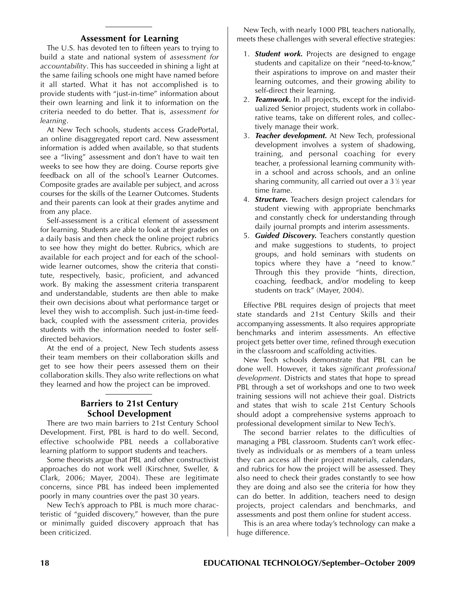# **Assessment for Learning**

The U.S. has devoted ten to fifteen years to trying to build a state and national system of *assessment for accountability*. This has succeeded in shining a light at the same failing schools one might have named before it all started. What it has not accomplished is to provide students with "just-in-time" information about their own learning and link it to information on the criteria needed to do better. That is, *assessment for learning*.

At New Tech schools, students access GradePortal, an online disaggregated report card. New assessment information is added when available, so that students see a "living" assessment and don't have to wait ten weeks to see how they are doing. Course reports give feedback on all of the school's Learner Outcomes. Composite grades are available per subject, and across courses for the skills of the Learner Outcomes. Students and their parents can look at their grades anytime and from any place.

Self-assessment is a critical element of assessment for learning. Students are able to look at their grades on a daily basis and then check the online project rubrics to see how they might do better. Rubrics, which are available for each project and for each of the schoolwide learner outcomes, show the criteria that constitute, respectively, basic, proficient, and advanced work. By making the assessment criteria transparent and understandable, students are then able to make their own decisions about what performance target or level they wish to accomplish. Such just-in-time feedback, coupled with the assessment criteria, provides students with the information needed to foster selfdirected behaviors.

At the end of a project, New Tech students assess their team members on their collaboration skills and get to see how their peers assessed them on their collaboration skills. They also write reflections on what they learned and how the project can be improved.

# **Barriers to 21st Century School Development**

There are two main barriers to 21st Century School Development. First, PBL is hard to do well. Second, effective schoolwide PBL needs a collaborative learning platform to support students and teachers.

Some theorists argue that PBL and other constructivist approaches do not work well (Kirschner, Sweller, & Clark, 2006; Mayer, 2004). These are legitimate concerns, since PBL has indeed been implemented poorly in many countries over the past 30 years.

New Tech's approach to PBL is much more characteristic of "guided discovery," however, than the pure or minimally guided discovery approach that has been criticized.

New Tech, with nearly 1000 PBL teachers nationally, meets these challenges with several effective strategies:

- 1. *Student work.* Projects are designed to engage students and capitalize on their "need-to-know," their aspirations to improve on and master their learning outcomes, and their growing ability to self-direct their learning.
- 2. *Teamwork.* In all projects, except for the individualized Senior project, students work in collaborative teams, take on different roles, and collectively manage their work.
- 3. *Teacher development.* At New Tech, professional development involves a system of shadowing, training, and personal coaching for every teacher, a professional learning community within a school and across schools, and an online sharing community, all carried out over a 31 ⁄2 year time frame.
- 4. *Structure.* Teachers design project calendars for student viewing with appropriate benchmarks and constantly check for understanding through daily journal prompts and interim assessments.
- 5. *Guided Discovery.* Teachers constantly question and make suggestions to students, to project groups, and hold seminars with students on topics where they have a "need to know." Through this they provide "hints, direction, coaching, feedback, and/or modeling to keep students on track" (Mayer, 2004).

Effective PBL requires design of projects that meet state standards and 21st Century Skills and their accompanying assessments. It also requires appropriate benchmarks and interim assessments. An effective project gets better over time, refined through execution in the classroom and scaffolding activities.

New Tech schools demonstrate that PBL can be done well. However, it takes *significant professional development*. Districts and states that hope to spread PBL through a set of workshops and one to two week training sessions will not achieve their goal. Districts and states that wish to scale 21st Century Schools should adopt a comprehensive systems approach to professional development similar to New Tech's.

The second barrier relates to the difficulties of managing a PBL classroom. Students can't work effectively as individuals or as members of a team unless they can access all their project materials, calendars, and rubrics for how the project will be assessed. They also need to check their grades constantly to see how they are doing and also see the criteria for how they can do better. In addition, teachers need to design projects, project calendars and benchmarks, and assessments and post them online for student access.

This is an area where today's technology can make a huge difference.